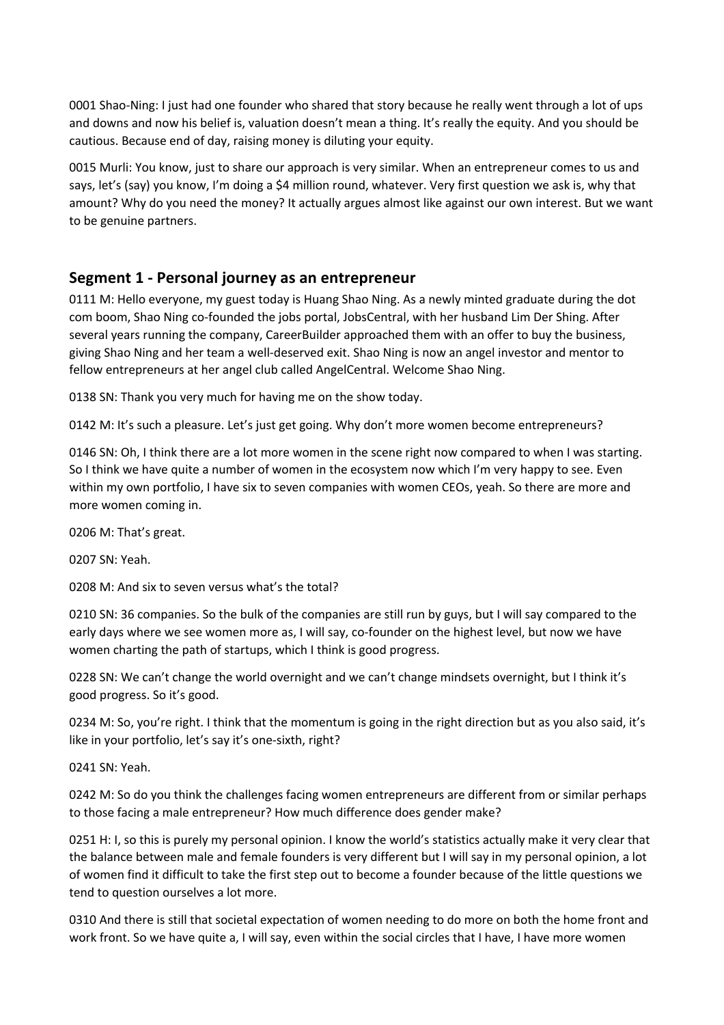0001 Shao-Ning: I just had one founder who shared that story because he really went through a lot of ups and downs and now his belief is, valuation doesn't mean a thing. It's really the equity. And you should be cautious. Because end of day, raising money is diluting your equity.

0015 Murli: You know, just to share our approach is very similar. When an entrepreneur comes to us and says, let's (say) you know, I'm doing a \$4 million round, whatever. Very first question we ask is, why that amount? Why do you need the money? It actually argues almost like against our own interest. But we want to be genuine partners.

# **Segment 1 - Personal journey as an entrepreneur**

0111 M: Hello everyone, my guest today is Huang Shao Ning. As a newly minted graduate during the dot com boom, Shao Ning co-founded the jobs portal, JobsCentral, with her husband Lim Der Shing. After several years running the company, CareerBuilder approached them with an offer to buy the business, giving Shao Ning and her team a well-deserved exit. Shao Ning is now an angel investor and mentor to fellow entrepreneurs at her angel club called AngelCentral. Welcome Shao Ning.

0138 SN: Thank you very much for having me on the show today.

0142 M: It's such a pleasure. Let's just get going. Why don't more women become entrepreneurs?

0146 SN: Oh, I think there are a lot more women in the scene right now compared to when I was starting. So I think we have quite a number of women in the ecosystem now which I'm very happy to see. Even within my own portfolio, I have six to seven companies with women CEOs, yeah. So there are more and more women coming in.

0206 M: That's great.

0207 SN: Yeah.

0208 M: And six to seven versus what's the total?

0210 SN: 36 companies. So the bulk of the companies are still run by guys, but I will say compared to the early days where we see women more as, I will say, co-founder on the highest level, but now we have women charting the path of startups, which I think is good progress.

0228 SN: We can't change the world overnight and we can't change mindsets overnight, but I think it's good progress. So it's good.

0234 M: So, you're right. I think that the momentum is going in the right direction but as you also said, it's like in your portfolio, let's say it's one-sixth, right?

0241 SN: Yeah.

0242 M: So do you think the challenges facing women entrepreneurs are different from or similar perhaps to those facing a male entrepreneur? How much difference does gender make?

0251 H: I, so this is purely my personal opinion. I know the world's statistics actually make it very clear that the balance between male and female founders is very different but I will say in my personal opinion, a lot of women find it difficult to take the first step out to become a founder because of the little questions we tend to question ourselves a lot more.

0310 And there is still that societal expectation of women needing to do more on both the home front and work front. So we have quite a, I will say, even within the social circles that I have, I have more women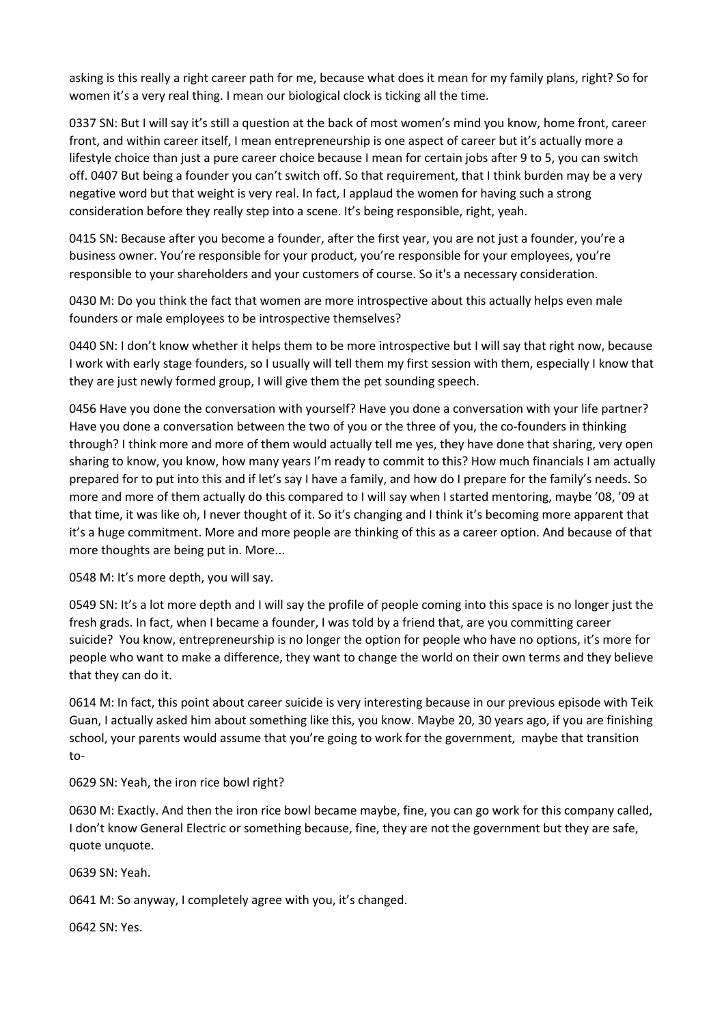asking is this really a right career path for me, because what does it mean for my family plans, right? So for women it's a very real thing. I mean our biological clock is ticking all the time.

0337 SN: But I will say it's still a question at the back of most women's mind you know, home front, career front, and within career itself, I mean entrepreneurship is one aspect of career but it's actually more a lifestyle choice than just a pure career choice because I mean for certain jobs after 9 to 5, you can switch off. 0407 But being a founder you can't switch off. So that requirement, that I think burden may be a very negative word but that weight is very real. In fact, I applaud the women for having such a strong consideration before they really step into a scene. It's being responsible, right, yeah.

0415 SN: Because after you become a founder, after the first year, you are not just a founder, you're a business owner. You're responsible for your product, you're responsible for your employees, you're responsible to your shareholders and your customers of course. So it's a necessary consideration.

0430 M: Do you think the fact that women are more introspective about this actually helps even male founders or male employees to be introspective themselves?

0440 SN: I don't know whether it helps them to be more introspective but I will say that right now, because I work with early stage founders, so I usually will tell them my first session with them, especially I know that they are just newly formed group, I will give them the pet sounding speech.

0456 Have you done the conversation with yourself? Have you done a conversation with your life partner? Have you done a conversation between the two of you or the three of you, the co-founders in thinking through? I think more and more of them would actually tell me yes, they have done that sharing, very open sharing to know, you know, how many years I'm ready to commit to this? How much financials I am actually prepared for to put into this and if let's say I have a family, and how do I prepare for the family's needs. So more and more of them actually do this compared to I will say when I started mentoring, maybe '08, '09 at that time, it was like oh, I never thought of it. So it's changing and I think it's becoming more apparent that it's a huge commitment. More and more people are thinking of this as a career option. And because of that more thoughts are being put in. More...

0548 M: It's more depth, you will say.

0549 SN: It's a lot more depth and I will say the profile of people coming into this space is no longer just the fresh grads. In fact, when I became a founder, I was told by a friend that, are you committing career suicide? You know, entrepreneurship is no longer the option for people who have no options, it's more for people who want to make a difference, they want to change the world on their own terms and they believe that they can do it.

0614 M: In fact, this point about career suicide is very interesting because in our previous episode with Teik Guan, I actually asked him about something like this, you know. Maybe 20, 30 years ago, if you are finishing school, your parents would assume that you're going to work for the government, maybe that transition to-

0629 SN: Yeah, the iron rice bowl right?

0630 M: Exactly. And then the iron rice bowl became maybe, fine, you can go work for this company called, I don't know General Electric or something because, fine, they are not the government but they are safe, quote unquote.

0639 SN: Yeah.

0641 M: So anyway, I completely agree with you, it's changed.

0642 SN: Yes.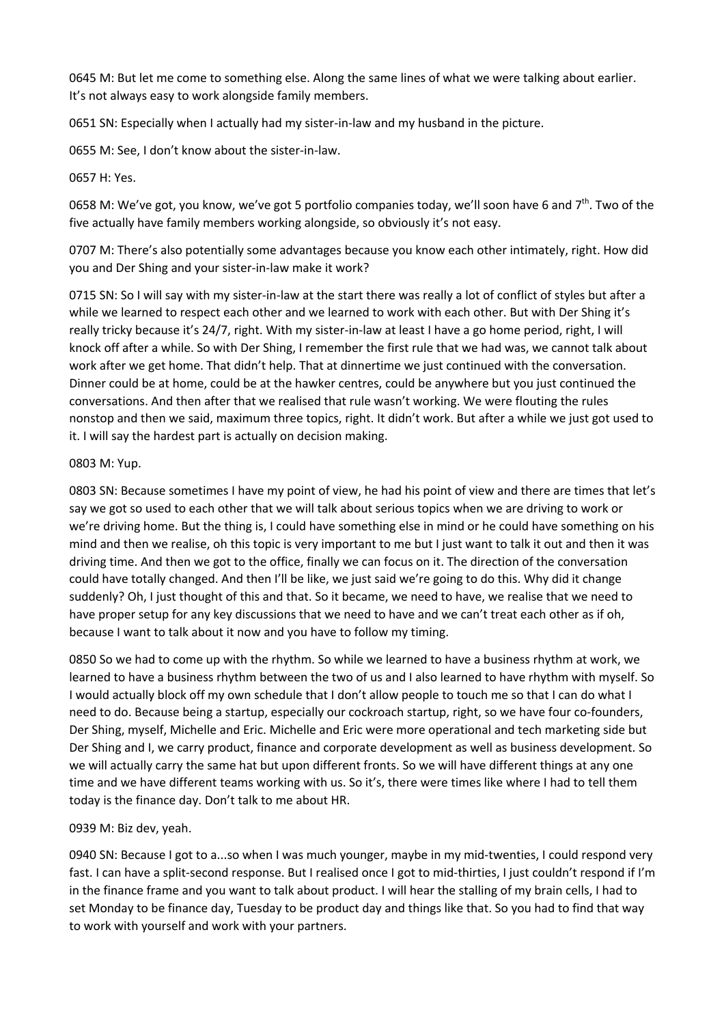0645 M: But let me come to something else. Along the same lines of what we were talking about earlier. It's not always easy to work alongside family members.

0651 SN: Especially when I actually had my sister-in-law and my husband in the picture.

0655 M: See, I don't know about the sister-in-law.

### 0657 H: Yes.

0658 M: We've got, you know, we've got 5 portfolio companies today, we'll soon have 6 and 7<sup>th</sup>. Two of the five actually have family members working alongside, so obviously it's not easy.

0707 M: There's also potentially some advantages because you know each other intimately, right. How did you and Der Shing and your sister-in-law make it work?

0715 SN: So I will say with my sister-in-law at the start there was really a lot of conflict of styles but after a while we learned to respect each other and we learned to work with each other. But with Der Shing it's really tricky because it's 24/7, right. With my sister-in-law at least I have a go home period, right, I will knock off after a while. So with Der Shing, I remember the first rule that we had was, we cannot talk about work after we get home. That didn't help. That at dinnertime we just continued with the conversation. Dinner could be at home, could be at the hawker centres, could be anywhere but you just continued the conversations. And then after that we realised that rule wasn't working. We were flouting the rules nonstop and then we said, maximum three topics, right. It didn't work. But after a while we just got used to it. I will say the hardest part is actually on decision making.

#### 0803 M: Yup.

0803 SN: Because sometimes I have my point of view, he had his point of view and there are times that let's say we got so used to each other that we will talk about serious topics when we are driving to work or we're driving home. But the thing is, I could have something else in mind or he could have something on his mind and then we realise, oh this topic is very important to me but I just want to talk it out and then it was driving time. And then we got to the office, finally we can focus on it. The direction of the conversation could have totally changed. And then I'll be like, we just said we're going to do this. Why did it change suddenly? Oh, I just thought of this and that. So it became, we need to have, we realise that we need to have proper setup for any key discussions that we need to have and we can't treat each other as if oh, because I want to talk about it now and you have to follow my timing.

0850 So we had to come up with the rhythm. So while we learned to have a business rhythm at work, we learned to have a business rhythm between the two of us and I also learned to have rhythm with myself. So I would actually block off my own schedule that I don't allow people to touch me so that I can do what I need to do. Because being a startup, especially our cockroach startup, right, so we have four co-founders, Der Shing, myself, Michelle and Eric. Michelle and Eric were more operational and tech marketing side but Der Shing and I, we carry product, finance and corporate development as well as business development. So we will actually carry the same hat but upon different fronts. So we will have different things at any one time and we have different teams working with us. So it's, there were times like where I had to tell them today is the finance day. Don't talk to me about HR.

### 0939 M: Biz dev, yeah.

0940 SN: Because I got to a...so when I was much younger, maybe in my mid-twenties, I could respond very fast. I can have a split-second response. But I realised once I got to mid-thirties, I just couldn't respond if I'm in the finance frame and you want to talk about product. I will hear the stalling of my brain cells, I had to set Monday to be finance day, Tuesday to be product day and things like that. So you had to find that way to work with yourself and work with your partners.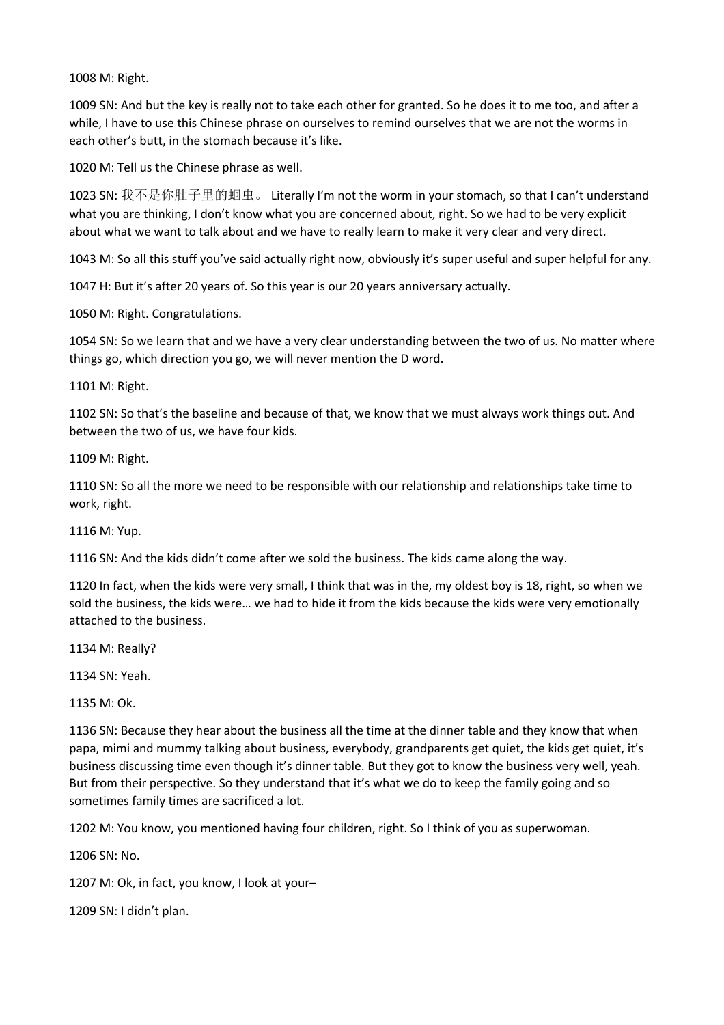M: Right.

 SN: And but the key is really not to take each other for granted. So he does it to me too, and after a while, I have to use this Chinese phrase on ourselves to remind ourselves that we are not the worms in each other's butt, in the stomach because it's like.

M: Tell us the Chinese phrase as well.

 SN: 我不是你肚子里的蛔虫。 Literally I'm not the worm in your stomach, so that I can't understand what you are thinking, I don't know what you are concerned about, right. So we had to be very explicit about what we want to talk about and we have to really learn to make it very clear and very direct.

1043 M: So all this stuff you've said actually right now, obviously it's super useful and super helpful for any.

H: But it's after 20 years of. So this year is our 20 years anniversary actually.

M: Right. Congratulations.

 SN: So we learn that and we have a very clear understanding between the two of us. No matter where things go, which direction you go, we will never mention the D word.

M: Right.

 SN: So that's the baseline and because of that, we know that we must always work things out. And between the two of us, we have four kids.

M: Right.

 SN: So all the more we need to be responsible with our relationship and relationships take time to work, right.

M: Yup.

SN: And the kids didn't come after we sold the business. The kids came along the way.

 In fact, when the kids were very small, I think that was in the, my oldest boy is 18, right, so when we sold the business, the kids were… we had to hide it from the kids because the kids were very emotionally attached to the business.

M: Really?

SN: Yeah.

M: Ok.

 SN: Because they hear about the business all the time at the dinner table and they know that when papa, mimi and mummy talking about business, everybody, grandparents get quiet, the kids get quiet, it's business discussing time even though it's dinner table. But they got to know the business very well, yeah. But from their perspective. So they understand that it's what we do to keep the family going and so sometimes family times are sacrificed a lot.

M: You know, you mentioned having four children, right. So I think of you as superwoman.

SN: No.

M: Ok, in fact, you know, I look at your–

SN: I didn't plan.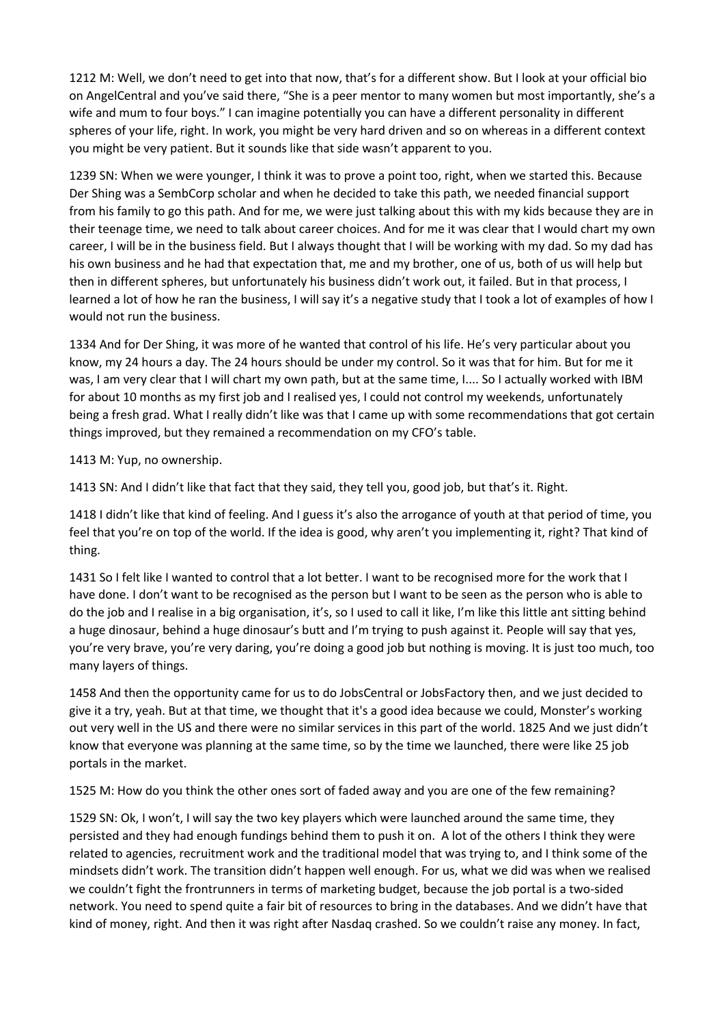1212 M: Well, we don't need to get into that now, that's for a different show. But I look at your official bio on AngelCentral and you've said there, "She is a peer mentor to many women but most importantly, she's a wife and mum to four boys." I can imagine potentially you can have a different personality in different spheres of your life, right. In work, you might be very hard driven and so on whereas in a different context you might be very patient. But it sounds like that side wasn't apparent to you.

1239 SN: When we were younger, I think it was to prove a point too, right, when we started this. Because Der Shing was a SembCorp scholar and when he decided to take this path, we needed financial support from his family to go this path. And for me, we were just talking about this with my kids because they are in their teenage time, we need to talk about career choices. And for me it was clear that I would chart my own career, I will be in the business field. But I always thought that I will be working with my dad. So my dad has his own business and he had that expectation that, me and my brother, one of us, both of us will help but then in different spheres, but unfortunately his business didn't work out, it failed. But in that process, I learned a lot of how he ran the business, I will say it's a negative study that I took a lot of examples of how I would not run the business.

1334 And for Der Shing, it was more of he wanted that control of his life. He's very particular about you know, my 24 hours a day. The 24 hours should be under my control. So it was that for him. But for me it was, I am very clear that I will chart my own path, but at the same time, I.... So I actually worked with IBM for about 10 months as my first job and I realised yes, I could not control my weekends, unfortunately being a fresh grad. What I really didn't like was that I came up with some recommendations that got certain things improved, but they remained a recommendation on my CFO's table.

1413 M: Yup, no ownership.

1413 SN: And I didn't like that fact that they said, they tell you, good job, but that's it. Right.

1418 I didn't like that kind of feeling. And I guess it's also the arrogance of youth at that period of time, you feel that you're on top of the world. If the idea is good, why aren't you implementing it, right? That kind of thing.

1431 So I felt like I wanted to control that a lot better. I want to be recognised more for the work that I have done. I don't want to be recognised as the person but I want to be seen as the person who is able to do the job and I realise in a big organisation, it's, so I used to call it like, I'm like this little ant sitting behind a huge dinosaur, behind a huge dinosaur's butt and I'm trying to push against it. People will say that yes, you're very brave, you're very daring, you're doing a good job but nothing is moving. It is just too much, too many layers of things.

1458 And then the opportunity came for us to do JobsCentral or JobsFactory then, and we just decided to give it a try, yeah. But at that time, we thought that it's a good idea because we could, Monster's working out very well in the US and there were no similar services in this part of the world. 1825 And we just didn't know that everyone was planning at the same time, so by the time we launched, there were like 25 job portals in the market.

1525 M: How do you think the other ones sort of faded away and you are one of the few remaining?

1529 SN: Ok, I won't, I will say the two key players which were launched around the same time, they persisted and they had enough fundings behind them to push it on. A lot of the others I think they were related to agencies, recruitment work and the traditional model that was trying to, and I think some of the mindsets didn't work. The transition didn't happen well enough. For us, what we did was when we realised we couldn't fight the frontrunners in terms of marketing budget, because the job portal is a two-sided network. You need to spend quite a fair bit of resources to bring in the databases. And we didn't have that kind of money, right. And then it was right after Nasdaq crashed. So we couldn't raise any money. In fact,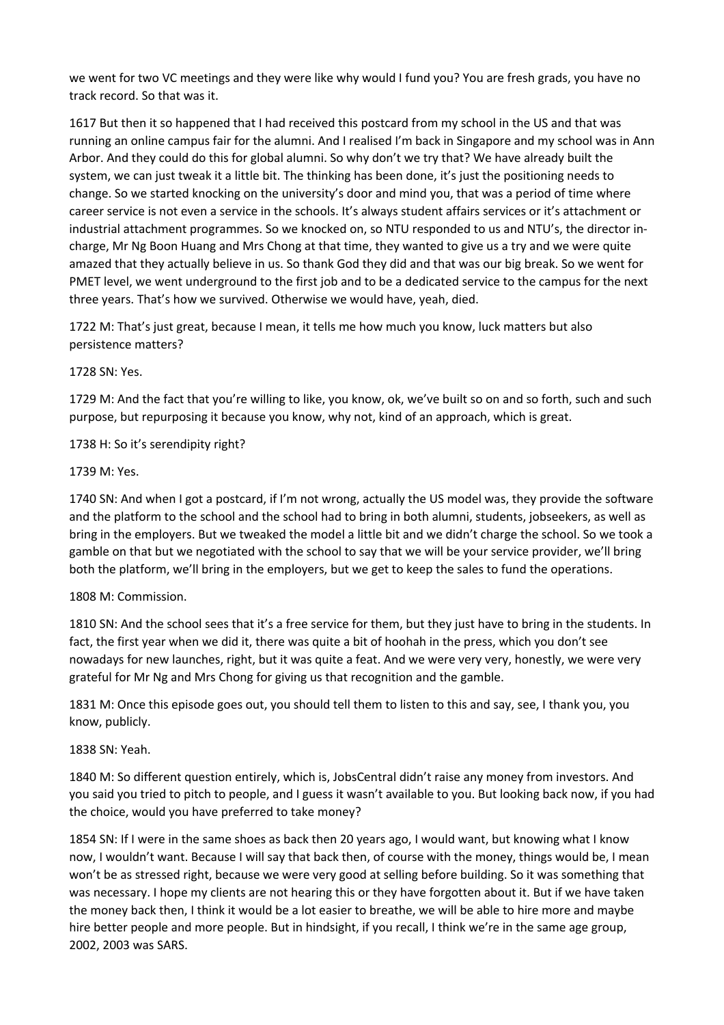we went for two VC meetings and they were like why would I fund you? You are fresh grads, you have no track record. So that was it.

1617 But then it so happened that I had received this postcard from my school in the US and that was running an online campus fair for the alumni. And I realised I'm back in Singapore and my school was in Ann Arbor. And they could do this for global alumni. So why don't we try that? We have already built the system, we can just tweak it a little bit. The thinking has been done, it's just the positioning needs to change. So we started knocking on the university's door and mind you, that was a period of time where career service is not even a service in the schools. It's always student affairs services or it's attachment or industrial attachment programmes. So we knocked on, so NTU responded to us and NTU's, the director incharge, Mr Ng Boon Huang and Mrs Chong at that time, they wanted to give us a try and we were quite amazed that they actually believe in us. So thank God they did and that was our big break. So we went for PMET level, we went underground to the first job and to be a dedicated service to the campus for the next three years. That's how we survived. Otherwise we would have, yeah, died.

1722 M: That's just great, because I mean, it tells me how much you know, luck matters but also persistence matters?

1728 SN: Yes.

1729 M: And the fact that you're willing to like, you know, ok, we've built so on and so forth, such and such purpose, but repurposing it because you know, why not, kind of an approach, which is great.

## 1738 H: So it's serendipity right?

1739 M: Yes.

1740 SN: And when I got a postcard, if I'm not wrong, actually the US model was, they provide the software and the platform to the school and the school had to bring in both alumni, students, jobseekers, as well as bring in the employers. But we tweaked the model a little bit and we didn't charge the school. So we took a gamble on that but we negotiated with the school to say that we will be your service provider, we'll bring both the platform, we'll bring in the employers, but we get to keep the sales to fund the operations.

## 1808 M: Commission.

1810 SN: And the school sees that it's a free service for them, but they just have to bring in the students. In fact, the first year when we did it, there was quite a bit of hoohah in the press, which you don't see nowadays for new launches, right, but it was quite a feat. And we were very very, honestly, we were very grateful for Mr Ng and Mrs Chong for giving us that recognition and the gamble.

1831 M: Once this episode goes out, you should tell them to listen to this and say, see, I thank you, you know, publicly.

### 1838 SN: Yeah.

1840 M: So different question entirely, which is, JobsCentral didn't raise any money from investors. And you said you tried to pitch to people, and I guess it wasn't available to you. But looking back now, if you had the choice, would you have preferred to take money?

1854 SN: If I were in the same shoes as back then 20 years ago, I would want, but knowing what I know now, I wouldn't want. Because I will say that back then, of course with the money, things would be, I mean won't be as stressed right, because we were very good at selling before building. So it was something that was necessary. I hope my clients are not hearing this or they have forgotten about it. But if we have taken the money back then, I think it would be a lot easier to breathe, we will be able to hire more and maybe hire better people and more people. But in hindsight, if you recall, I think we're in the same age group, 2002, 2003 was SARS.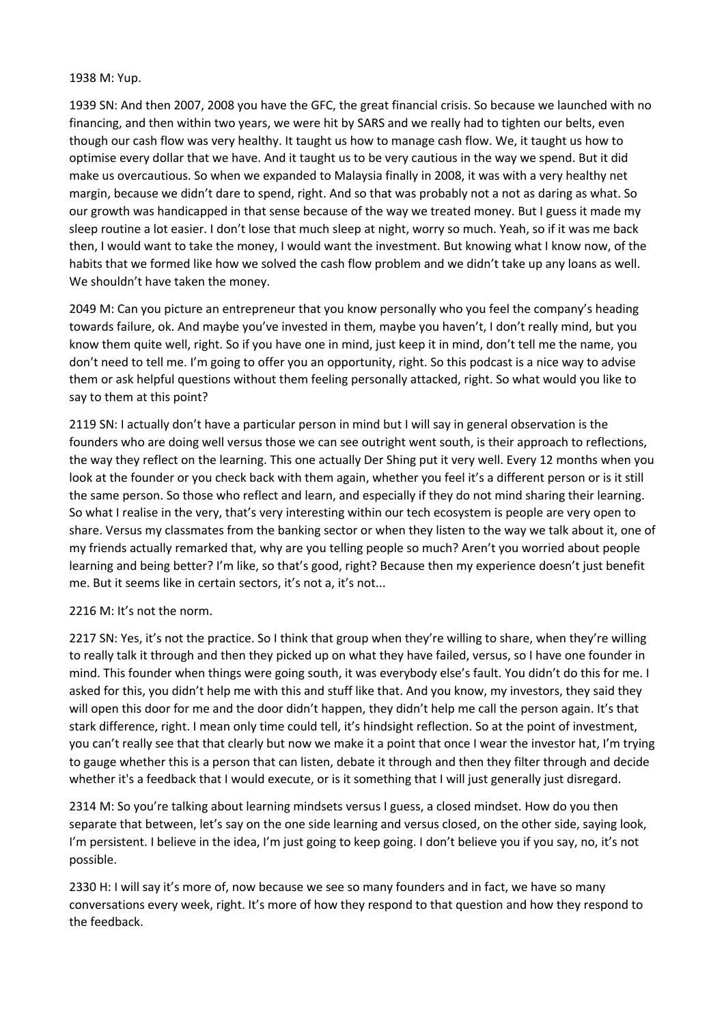### 1938 M: Yup.

1939 SN: And then 2007, 2008 you have the GFC, the great financial crisis. So because we launched with no financing, and then within two years, we were hit by SARS and we really had to tighten our belts, even though our cash flow was very healthy. It taught us how to manage cash flow. We, it taught us how to optimise every dollar that we have. And it taught us to be very cautious in the way we spend. But it did make us overcautious. So when we expanded to Malaysia finally in 2008, it was with a very healthy net margin, because we didn't dare to spend, right. And so that was probably not a not as daring as what. So our growth was handicapped in that sense because of the way we treated money. But I guess it made my sleep routine a lot easier. I don't lose that much sleep at night, worry so much. Yeah, so if it was me back then, I would want to take the money, I would want the investment. But knowing what I know now, of the habits that we formed like how we solved the cash flow problem and we didn't take up any loans as well. We shouldn't have taken the money.

2049 M: Can you picture an entrepreneur that you know personally who you feel the company's heading towards failure, ok. And maybe you've invested in them, maybe you haven't, I don't really mind, but you know them quite well, right. So if you have one in mind, just keep it in mind, don't tell me the name, you don't need to tell me. I'm going to offer you an opportunity, right. So this podcast is a nice way to advise them or ask helpful questions without them feeling personally attacked, right. So what would you like to say to them at this point?

2119 SN: I actually don't have a particular person in mind but I will say in general observation is the founders who are doing well versus those we can see outright went south, is their approach to reflections, the way they reflect on the learning. This one actually Der Shing put it very well. Every 12 months when you look at the founder or you check back with them again, whether you feel it's a different person or is it still the same person. So those who reflect and learn, and especially if they do not mind sharing their learning. So what I realise in the very, that's very interesting within our tech ecosystem is people are very open to share. Versus my classmates from the banking sector or when they listen to the way we talk about it, one of my friends actually remarked that, why are you telling people so much? Aren't you worried about people learning and being better? I'm like, so that's good, right? Because then my experience doesn't just benefit me. But it seems like in certain sectors, it's not a, it's not...

### 2216 M: It's not the norm.

2217 SN: Yes, it's not the practice. So I think that group when they're willing to share, when they're willing to really talk it through and then they picked up on what they have failed, versus, so I have one founder in mind. This founder when things were going south, it was everybody else's fault. You didn't do this for me. I asked for this, you didn't help me with this and stuff like that. And you know, my investors, they said they will open this door for me and the door didn't happen, they didn't help me call the person again. It's that stark difference, right. I mean only time could tell, it's hindsight reflection. So at the point of investment, you can't really see that that clearly but now we make it a point that once I wear the investor hat, I'm trying to gauge whether this is a person that can listen, debate it through and then they filter through and decide whether it's a feedback that I would execute, or is it something that I will just generally just disregard.

2314 M: So you're talking about learning mindsets versus I guess, a closed mindset. How do you then separate that between, let's say on the one side learning and versus closed, on the other side, saying look, I'm persistent. I believe in the idea, I'm just going to keep going. I don't believe you if you say, no, it's not possible.

2330 H: I will say it's more of, now because we see so many founders and in fact, we have so many conversations every week, right. It's more of how they respond to that question and how they respond to the feedback.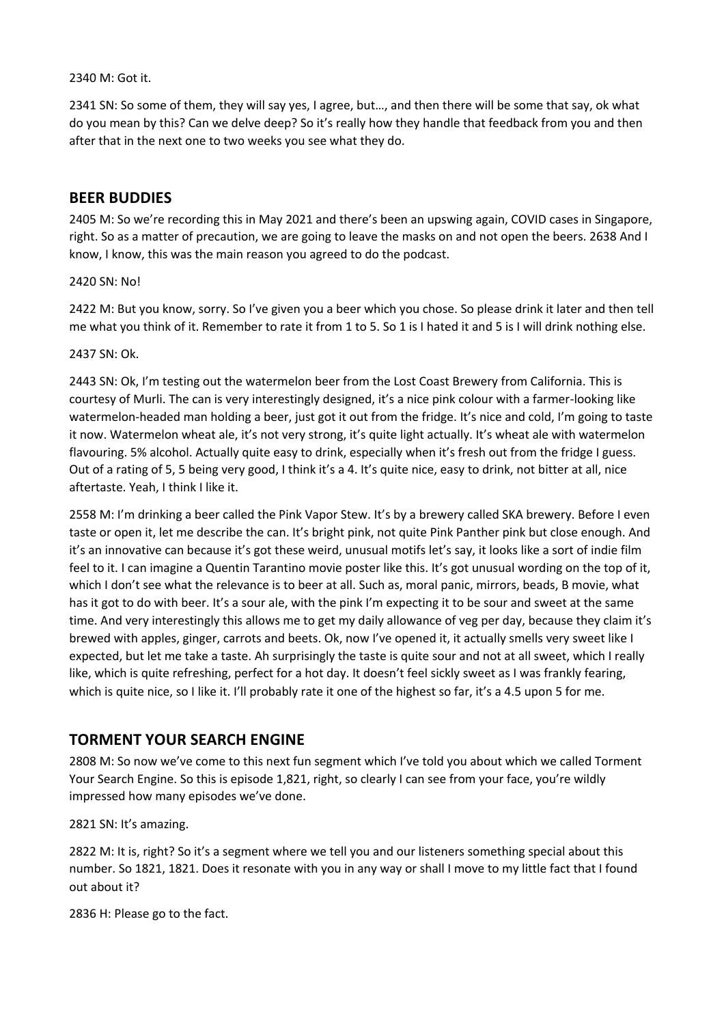### 2340 M: Got it.

2341 SN: So some of them, they will say yes, I agree, but…, and then there will be some that say, ok what do you mean by this? Can we delve deep? So it's really how they handle that feedback from you and then after that in the next one to two weeks you see what they do.

# **BEER BUDDIES**

2405 M: So we're recording this in May 2021 and there's been an upswing again, COVID cases in Singapore, right. So as a matter of precaution, we are going to leave the masks on and not open the beers. 2638 And I know, I know, this was the main reason you agreed to do the podcast.

### 2420 SN: No!

2422 M: But you know, sorry. So I've given you a beer which you chose. So please drink it later and then tell me what you think of it. Remember to rate it from 1 to 5. So 1 is I hated it and 5 is I will drink nothing else.

#### 2437 SN: Ok.

2443 SN: Ok, I'm testing out the watermelon beer from the Lost Coast Brewery from California. This is courtesy of Murli. The can is very interestingly designed, it's a nice pink colour with a farmer-looking like watermelon-headed man holding a beer, just got it out from the fridge. It's nice and cold, I'm going to taste it now. Watermelon wheat ale, it's not very strong, it's quite light actually. It's wheat ale with watermelon flavouring. 5% alcohol. Actually quite easy to drink, especially when it's fresh out from the fridge I guess. Out of a rating of 5, 5 being very good, I think it's a 4. It's quite nice, easy to drink, not bitter at all, nice aftertaste. Yeah, I think I like it.

2558 M: I'm drinking a beer called the Pink Vapor Stew. It's by a brewery called SKA brewery. Before I even taste or open it, let me describe the can. It's bright pink, not quite Pink Panther pink but close enough. And it's an innovative can because it's got these weird, unusual motifs let's say, it looks like a sort of indie film feel to it. I can imagine a Quentin Tarantino movie poster like this. It's got unusual wording on the top of it, which I don't see what the relevance is to beer at all. Such as, moral panic, mirrors, beads, B movie, what has it got to do with beer. It's a sour ale, with the pink I'm expecting it to be sour and sweet at the same time. And very interestingly this allows me to get my daily allowance of veg per day, because they claim it's brewed with apples, ginger, carrots and beets. Ok, now I've opened it, it actually smells very sweet like I expected, but let me take a taste. Ah surprisingly the taste is quite sour and not at all sweet, which I really like, which is quite refreshing, perfect for a hot day. It doesn't feel sickly sweet as I was frankly fearing, which is quite nice, so I like it. I'll probably rate it one of the highest so far, it's a 4.5 upon 5 for me.

# **TORMENT YOUR SEARCH ENGINE**

2808 M: So now we've come to this next fun segment which I've told you about which we called Torment Your Search Engine. So this is episode 1,821, right, so clearly I can see from your face, you're wildly impressed how many episodes we've done.

2821 SN: It's amazing.

2822 M: It is, right? So it's a segment where we tell you and our listeners something special about this number. So 1821, 1821. Does it resonate with you in any way or shall I move to my little fact that I found out about it?

2836 H: Please go to the fact.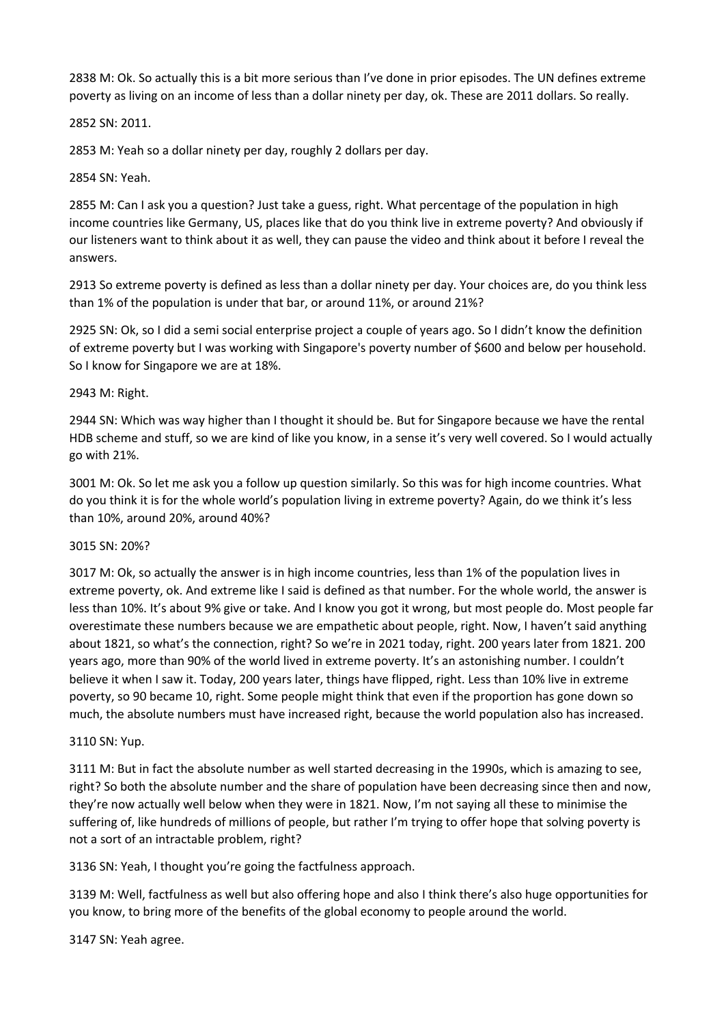2838 M: Ok. So actually this is a bit more serious than I've done in prior episodes. The UN defines extreme poverty as living on an income of less than a dollar ninety per day, ok. These are 2011 dollars. So really.

### 2852 SN: 2011.

2853 M: Yeah so a dollar ninety per day, roughly 2 dollars per day.

### 2854 SN: Yeah.

2855 M: Can I ask you a question? Just take a guess, right. What percentage of the population in high income countries like Germany, US, places like that do you think live in extreme poverty? And obviously if our listeners want to think about it as well, they can pause the video and think about it before I reveal the answers.

2913 So extreme poverty is defined as less than a dollar ninety per day. Your choices are, do you think less than 1% of the population is under that bar, or around 11%, or around 21%?

2925 SN: Ok, so I did a semi social enterprise project a couple of years ago. So I didn't know the definition of extreme poverty but I was working with Singapore's poverty number of \$600 and below per household. So I know for Singapore we are at 18%.

### 2943 M: Right.

2944 SN: Which was way higher than I thought it should be. But for Singapore because we have the rental HDB scheme and stuff, so we are kind of like you know, in a sense it's very well covered. So I would actually go with 21%.

3001 M: Ok. So let me ask you a follow up question similarly. So this was for high income countries. What do you think it is for the whole world's population living in extreme poverty? Again, do we think it's less than 10%, around 20%, around 40%?

### 3015 SN: 20%?

3017 M: Ok, so actually the answer is in high income countries, less than 1% of the population lives in extreme poverty, ok. And extreme like I said is defined as that number. For the whole world, the answer is less than 10%. It's about 9% give or take. And I know you got it wrong, but most people do. Most people far overestimate these numbers because we are empathetic about people, right. Now, I haven't said anything about 1821, so what's the connection, right? So we're in 2021 today, right. 200 years later from 1821. 200 years ago, more than 90% of the world lived in extreme poverty. It's an astonishing number. I couldn't believe it when I saw it. Today, 200 years later, things have flipped, right. Less than 10% live in extreme poverty, so 90 became 10, right. Some people might think that even if the proportion has gone down so much, the absolute numbers must have increased right, because the world population also has increased.

### 3110 SN: Yup.

3111 M: But in fact the absolute number as well started decreasing in the 1990s, which is amazing to see, right? So both the absolute number and the share of population have been decreasing since then and now, they're now actually well below when they were in 1821. Now, I'm not saying all these to minimise the suffering of, like hundreds of millions of people, but rather I'm trying to offer hope that solving poverty is not a sort of an intractable problem, right?

3136 SN: Yeah, I thought you're going the factfulness approach.

3139 M: Well, factfulness as well but also offering hope and also I think there's also huge opportunities for you know, to bring more of the benefits of the global economy to people around the world.

3147 SN: Yeah agree.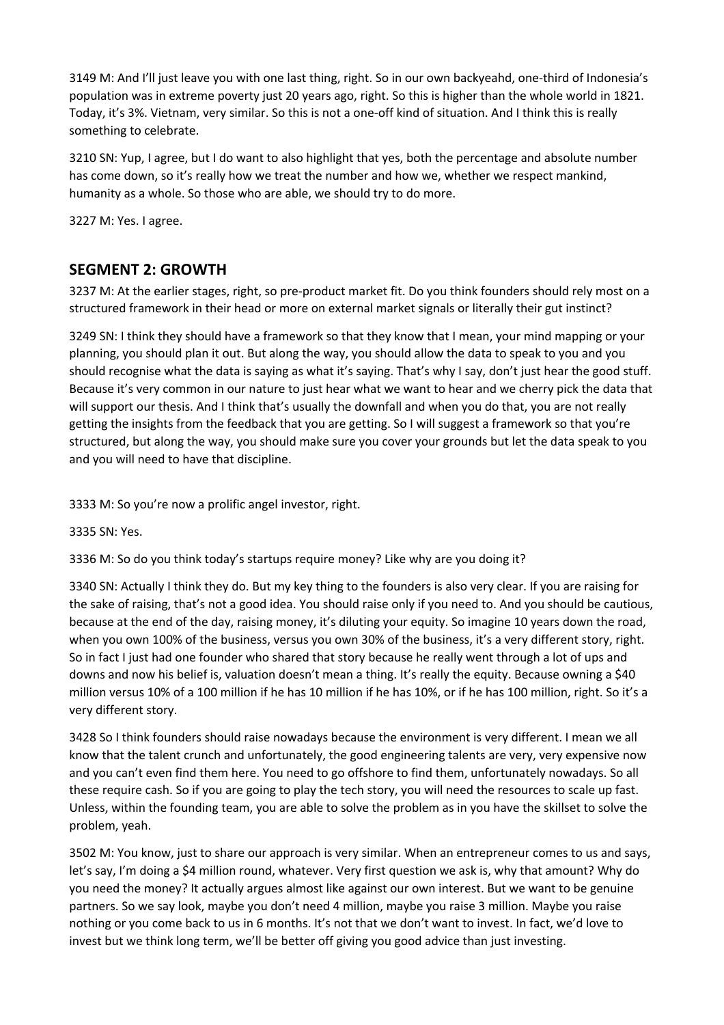3149 M: And I'll just leave you with one last thing, right. So in our own backyeahd, one-third of Indonesia's population was in extreme poverty just 20 years ago, right. So this is higher than the whole world in 1821. Today, it's 3%. Vietnam, very similar. So this is not a one-off kind of situation. And I think this is really something to celebrate.

3210 SN: Yup, I agree, but I do want to also highlight that yes, both the percentage and absolute number has come down, so it's really how we treat the number and how we, whether we respect mankind, humanity as a whole. So those who are able, we should try to do more.

3227 M: Yes. I agree.

# **SEGMENT 2: GROWTH**

3237 M: At the earlier stages, right, so pre-product market fit. Do you think founders should rely most on a structured framework in their head or more on external market signals or literally their gut instinct?

3249 SN: I think they should have a framework so that they know that I mean, your mind mapping or your planning, you should plan it out. But along the way, you should allow the data to speak to you and you should recognise what the data is saying as what it's saying. That's why I say, don't just hear the good stuff. Because it's very common in our nature to just hear what we want to hear and we cherry pick the data that will support our thesis. And I think that's usually the downfall and when you do that, you are not really getting the insights from the feedback that you are getting. So I will suggest a framework so that you're structured, but along the way, you should make sure you cover your grounds but let the data speak to you and you will need to have that discipline.

3333 M: So you're now a prolific angel investor, right.

3335 SN: Yes.

3336 M: So do you think today's startups require money? Like why are you doing it?

3340 SN: Actually I think they do. But my key thing to the founders is also very clear. If you are raising for the sake of raising, that's not a good idea. You should raise only if you need to. And you should be cautious, because at the end of the day, raising money, it's diluting your equity. So imagine 10 years down the road, when you own 100% of the business, versus you own 30% of the business, it's a very different story, right. So in fact I just had one founder who shared that story because he really went through a lot of ups and downs and now his belief is, valuation doesn't mean a thing. It's really the equity. Because owning a \$40 million versus 10% of a 100 million if he has 10 million if he has 10%, or if he has 100 million, right. So it's a very different story.

3428 So I think founders should raise nowadays because the environment is very different. I mean we all know that the talent crunch and unfortunately, the good engineering talents are very, very expensive now and you can't even find them here. You need to go offshore to find them, unfortunately nowadays. So all these require cash. So if you are going to play the tech story, you will need the resources to scale up fast. Unless, within the founding team, you are able to solve the problem as in you have the skillset to solve the problem, yeah.

3502 M: You know, just to share our approach is very similar. When an entrepreneur comes to us and says, let's say, I'm doing a \$4 million round, whatever. Very first question we ask is, why that amount? Why do you need the money? It actually argues almost like against our own interest. But we want to be genuine partners. So we say look, maybe you don't need 4 million, maybe you raise 3 million. Maybe you raise nothing or you come back to us in 6 months. It's not that we don't want to invest. In fact, we'd love to invest but we think long term, we'll be better off giving you good advice than just investing.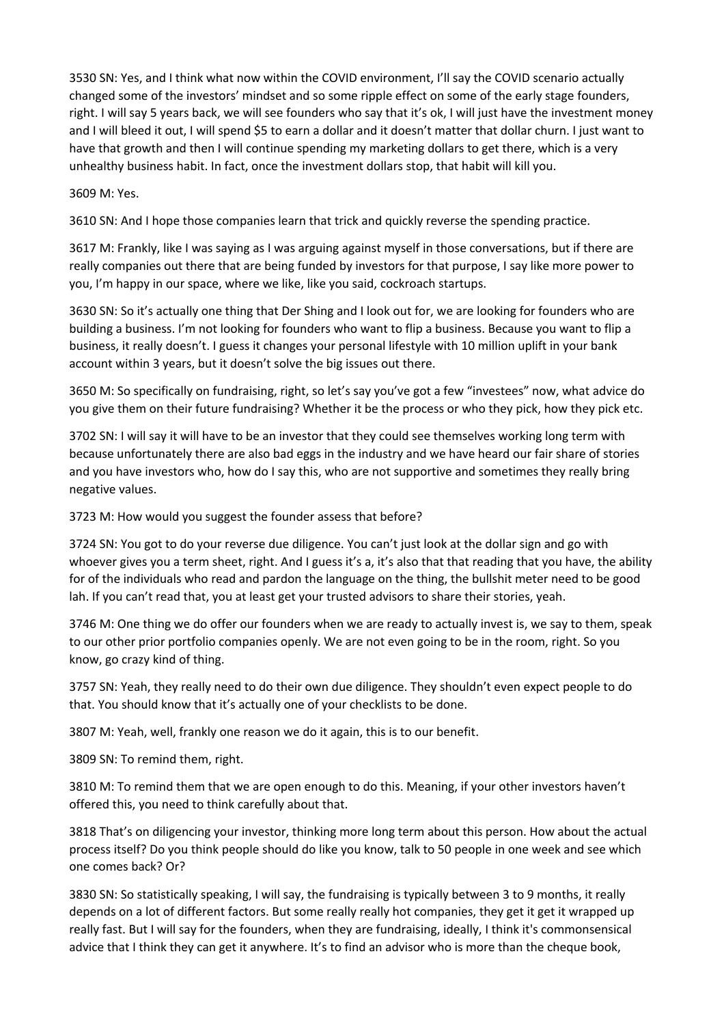3530 SN: Yes, and I think what now within the COVID environment, I'll say the COVID scenario actually changed some of the investors' mindset and so some ripple effect on some of the early stage founders, right. I will say 5 years back, we will see founders who say that it's ok, I will just have the investment money and I will bleed it out, I will spend \$5 to earn a dollar and it doesn't matter that dollar churn. I just want to have that growth and then I will continue spending my marketing dollars to get there, which is a very unhealthy business habit. In fact, once the investment dollars stop, that habit will kill you.

3609 M: Yes.

3610 SN: And I hope those companies learn that trick and quickly reverse the spending practice.

3617 M: Frankly, like I was saying as I was arguing against myself in those conversations, but if there are really companies out there that are being funded by investors for that purpose, I say like more power to you, I'm happy in our space, where we like, like you said, cockroach startups.

3630 SN: So it's actually one thing that Der Shing and I look out for, we are looking for founders who are building a business. I'm not looking for founders who want to flip a business. Because you want to flip a business, it really doesn't. I guess it changes your personal lifestyle with 10 million uplift in your bank account within 3 years, but it doesn't solve the big issues out there.

3650 M: So specifically on fundraising, right, so let's say you've got a few "investees" now, what advice do you give them on their future fundraising? Whether it be the process or who they pick, how they pick etc.

3702 SN: I will say it will have to be an investor that they could see themselves working long term with because unfortunately there are also bad eggs in the industry and we have heard our fair share of stories and you have investors who, how do I say this, who are not supportive and sometimes they really bring negative values.

3723 M: How would you suggest the founder assess that before?

3724 SN: You got to do your reverse due diligence. You can't just look at the dollar sign and go with whoever gives you a term sheet, right. And I guess it's a, it's also that that reading that you have, the ability for of the individuals who read and pardon the language on the thing, the bullshit meter need to be good lah. If you can't read that, you at least get your trusted advisors to share their stories, yeah.

3746 M: One thing we do offer our founders when we are ready to actually invest is, we say to them, speak to our other prior portfolio companies openly. We are not even going to be in the room, right. So you know, go crazy kind of thing.

3757 SN: Yeah, they really need to do their own due diligence. They shouldn't even expect people to do that. You should know that it's actually one of your checklists to be done.

3807 M: Yeah, well, frankly one reason we do it again, this is to our benefit.

3809 SN: To remind them, right.

3810 M: To remind them that we are open enough to do this. Meaning, if your other investors haven't offered this, you need to think carefully about that.

3818 That's on diligencing your investor, thinking more long term about this person. How about the actual process itself? Do you think people should do like you know, talk to 50 people in one week and see which one comes back? Or?

3830 SN: So statistically speaking, I will say, the fundraising is typically between 3 to 9 months, it really depends on a lot of different factors. But some really really hot companies, they get it get it wrapped up really fast. But I will say for the founders, when they are fundraising, ideally, I think it's commonsensical advice that I think they can get it anywhere. It's to find an advisor who is more than the cheque book,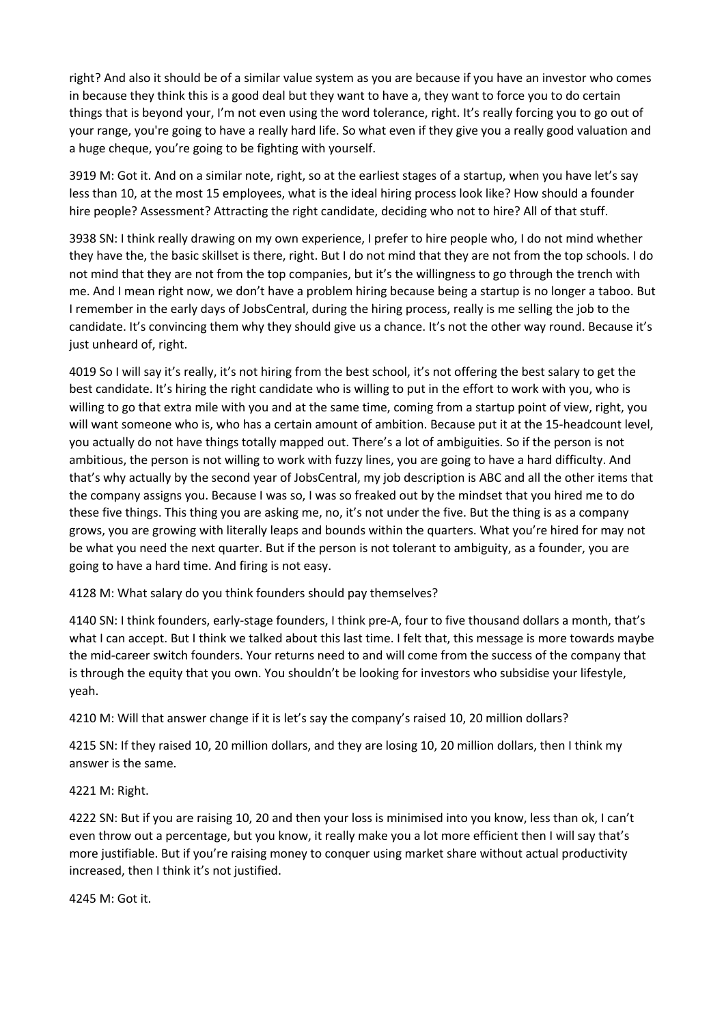right? And also it should be of a similar value system as you are because if you have an investor who comes in because they think this is a good deal but they want to have a, they want to force you to do certain things that is beyond your, I'm not even using the word tolerance, right. It's really forcing you to go out of your range, you're going to have a really hard life. So what even if they give you a really good valuation and a huge cheque, you're going to be fighting with yourself.

3919 M: Got it. And on a similar note, right, so at the earliest stages of a startup, when you have let's say less than 10, at the most 15 employees, what is the ideal hiring process look like? How should a founder hire people? Assessment? Attracting the right candidate, deciding who not to hire? All of that stuff.

3938 SN: I think really drawing on my own experience, I prefer to hire people who, I do not mind whether they have the, the basic skillset is there, right. But I do not mind that they are not from the top schools. I do not mind that they are not from the top companies, but it's the willingness to go through the trench with me. And I mean right now, we don't have a problem hiring because being a startup is no longer a taboo. But I remember in the early days of JobsCentral, during the hiring process, really is me selling the job to the candidate. It's convincing them why they should give us a chance. It's not the other way round. Because it's just unheard of, right.

4019 So I will say it's really, it's not hiring from the best school, it's not offering the best salary to get the best candidate. It's hiring the right candidate who is willing to put in the effort to work with you, who is willing to go that extra mile with you and at the same time, coming from a startup point of view, right, you will want someone who is, who has a certain amount of ambition. Because put it at the 15-headcount level, you actually do not have things totally mapped out. There's a lot of ambiguities. So if the person is not ambitious, the person is not willing to work with fuzzy lines, you are going to have a hard difficulty. And that's why actually by the second year of JobsCentral, my job description is ABC and all the other items that the company assigns you. Because I was so, I was so freaked out by the mindset that you hired me to do these five things. This thing you are asking me, no, it's not under the five. But the thing is as a company grows, you are growing with literally leaps and bounds within the quarters. What you're hired for may not be what you need the next quarter. But if the person is not tolerant to ambiguity, as a founder, you are going to have a hard time. And firing is not easy.

4128 M: What salary do you think founders should pay themselves?

4140 SN: I think founders, early-stage founders, I think pre-A, four to five thousand dollars a month, that's what I can accept. But I think we talked about this last time. I felt that, this message is more towards maybe the mid-career switch founders. Your returns need to and will come from the success of the company that is through the equity that you own. You shouldn't be looking for investors who subsidise your lifestyle, yeah.

4210 M: Will that answer change if it is let's say the company's raised 10, 20 million dollars?

4215 SN: If they raised 10, 20 million dollars, and they are losing 10, 20 million dollars, then I think my answer is the same.

### 4221 M: Right.

4222 SN: But if you are raising 10, 20 and then your loss is minimised into you know, less than ok, I can't even throw out a percentage, but you know, it really make you a lot more efficient then I will say that's more justifiable. But if you're raising money to conquer using market share without actual productivity increased, then I think it's not justified.

4245 M: Got it.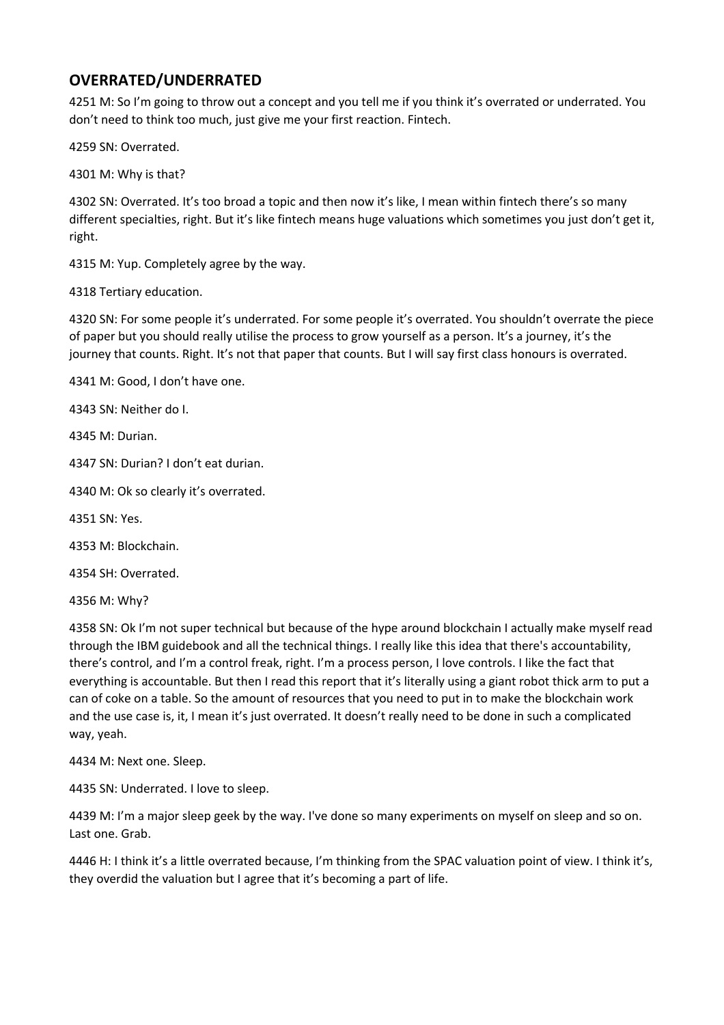# **OVERRATED/UNDERRATED**

4251 M: So I'm going to throw out a concept and you tell me if you think it's overrated or underrated. You don't need to think too much, just give me your first reaction. Fintech.

4259 SN: Overrated.

4301 M: Why is that?

4302 SN: Overrated. It's too broad a topic and then now it's like, I mean within fintech there's so many different specialties, right. But it's like fintech means huge valuations which sometimes you just don't get it, right.

4315 M: Yup. Completely agree by the way.

4318 Tertiary education.

4320 SN: For some people it's underrated. For some people it's overrated. You shouldn't overrate the piece of paper but you should really utilise the process to grow yourself as a person. It's a journey, it's the journey that counts. Right. It's not that paper that counts. But I will say first class honours is overrated.

4341 M: Good, I don't have one.

4343 SN: Neither do I.

4345 M: Durian.

4347 SN: Durian? I don't eat durian.

4340 M: Ok so clearly it's overrated.

4351 SN: Yes.

4353 M: Blockchain.

4354 SH: Overrated.

4356 M: Why?

4358 SN: Ok I'm not super technical but because of the hype around blockchain I actually make myself read through the IBM guidebook and all the technical things. I really like this idea that there's accountability, there's control, and I'm a control freak, right. I'm a process person, I love controls. I like the fact that everything is accountable. But then I read this report that it's literally using a giant robot thick arm to put a can of coke on a table. So the amount of resources that you need to put in to make the blockchain work and the use case is, it, I mean it's just overrated. It doesn't really need to be done in such a complicated way, yeah.

4434 M: Next one. Sleep.

4435 SN: Underrated. I love to sleep.

4439 M: I'm a major sleep geek by the way. I've done so many experiments on myself on sleep and so on. Last one. Grab.

4446 H: I think it's a little overrated because, I'm thinking from the SPAC valuation point of view. I think it's, they overdid the valuation but I agree that it's becoming a part of life.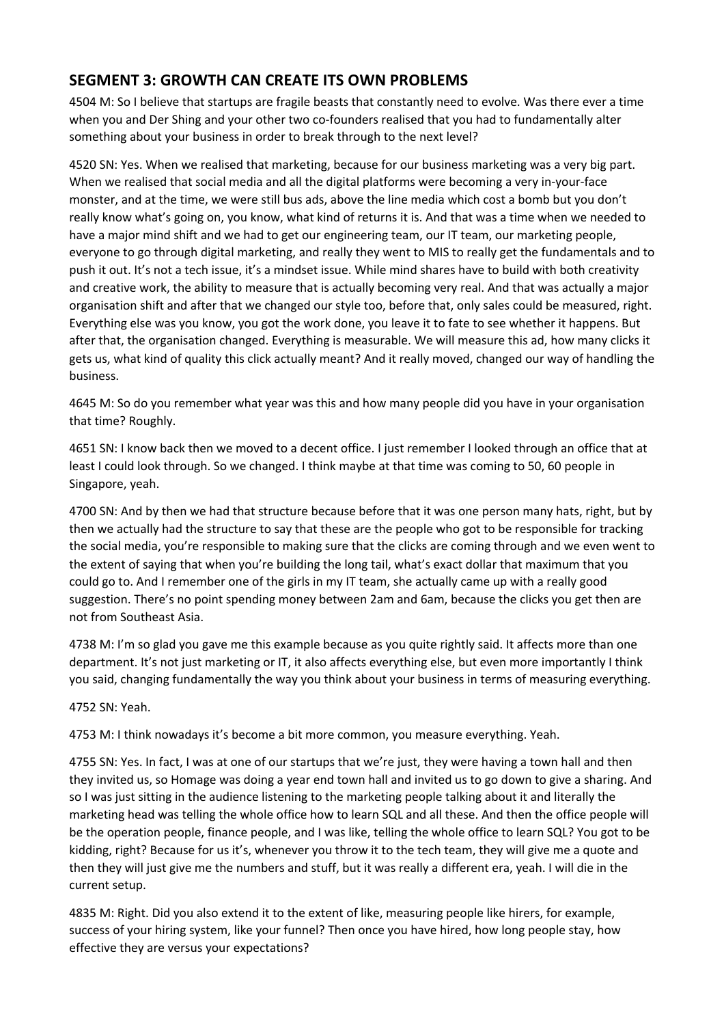# **SEGMENT 3: GROWTH CAN CREATE ITS OWN PROBLEMS**

4504 M: So I believe that startups are fragile beasts that constantly need to evolve. Was there ever a time when you and Der Shing and your other two co-founders realised that you had to fundamentally alter something about your business in order to break through to the next level?

4520 SN: Yes. When we realised that marketing, because for our business marketing was a very big part. When we realised that social media and all the digital platforms were becoming a very in-your-face monster, and at the time, we were still bus ads, above the line media which cost a bomb but you don't really know what's going on, you know, what kind of returns it is. And that was a time when we needed to have a major mind shift and we had to get our engineering team, our IT team, our marketing people, everyone to go through digital marketing, and really they went to MIS to really get the fundamentals and to push it out. It's not a tech issue, it's a mindset issue. While mind shares have to build with both creativity and creative work, the ability to measure that is actually becoming very real. And that was actually a major organisation shift and after that we changed our style too, before that, only sales could be measured, right. Everything else was you know, you got the work done, you leave it to fate to see whether it happens. But after that, the organisation changed. Everything is measurable. We will measure this ad, how many clicks it gets us, what kind of quality this click actually meant? And it really moved, changed our way of handling the business.

4645 M: So do you remember what year was this and how many people did you have in your organisation that time? Roughly.

4651 SN: I know back then we moved to a decent office. I just remember I looked through an office that at least I could look through. So we changed. I think maybe at that time was coming to 50, 60 people in Singapore, yeah.

4700 SN: And by then we had that structure because before that it was one person many hats, right, but by then we actually had the structure to say that these are the people who got to be responsible for tracking the social media, you're responsible to making sure that the clicks are coming through and we even went to the extent of saying that when you're building the long tail, what's exact dollar that maximum that you could go to. And I remember one of the girls in my IT team, she actually came up with a really good suggestion. There's no point spending money between 2am and 6am, because the clicks you get then are not from Southeast Asia.

4738 M: I'm so glad you gave me this example because as you quite rightly said. It affects more than one department. It's not just marketing or IT, it also affects everything else, but even more importantly I think you said, changing fundamentally the way you think about your business in terms of measuring everything.

4752 SN: Yeah.

4753 M: I think nowadays it's become a bit more common, you measure everything. Yeah.

4755 SN: Yes. In fact, I was at one of our startups that we're just, they were having a town hall and then they invited us, so Homage was doing a year end town hall and invited us to go down to give a sharing. And so I was just sitting in the audience listening to the marketing people talking about it and literally the marketing head was telling the whole office how to learn SQL and all these. And then the office people will be the operation people, finance people, and I was like, telling the whole office to learn SQL? You got to be kidding, right? Because for us it's, whenever you throw it to the tech team, they will give me a quote and then they will just give me the numbers and stuff, but it was really a different era, yeah. I will die in the current setup.

4835 M: Right. Did you also extend it to the extent of like, measuring people like hirers, for example, success of your hiring system, like your funnel? Then once you have hired, how long people stay, how effective they are versus your expectations?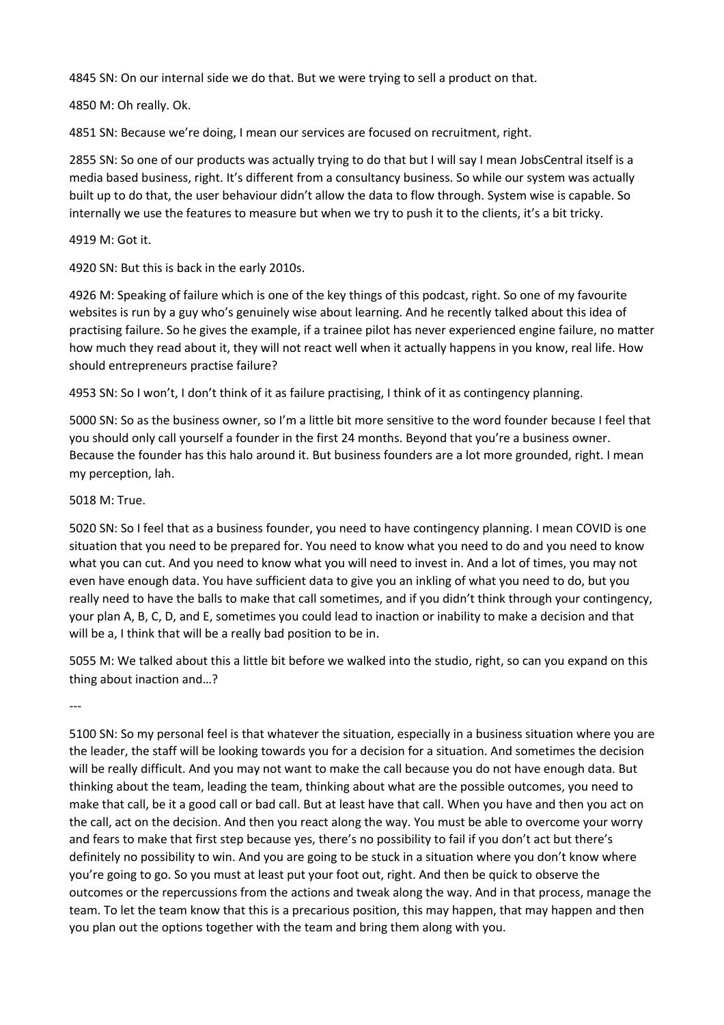4845 SN: On our internal side we do that. But we were trying to sell a product on that.

4850 M: Oh really. Ok.

4851 SN: Because we're doing, I mean our services are focused on recruitment, right.

2855 SN: So one of our products was actually trying to do that but I will say I mean JobsCentral itself is a media based business, right. It's different from a consultancy business. So while our system was actually built up to do that, the user behaviour didn't allow the data to flow through. System wise is capable. So internally we use the features to measure but when we try to push it to the clients, it's a bit tricky.

### 4919 M: Got it.

4920 SN: But this is back in the early 2010s.

4926 M: Speaking of failure which is one of the key things of this podcast, right. So one of my favourite websites is run by a guy who's genuinely wise about learning. And he recently talked about this idea of practising failure. So he gives the example, if a trainee pilot has never experienced engine failure, no matter how much they read about it, they will not react well when it actually happens in you know, real life. How should entrepreneurs practise failure?

4953 SN: So I won't, I don't think of it as failure practising, I think of it as contingency planning.

5000 SN: So as the business owner, so I'm a little bit more sensitive to the word founder because I feel that you should only call yourself a founder in the first 24 months. Beyond that you're a business owner. Because the founder has this halo around it. But business founders are a lot more grounded, right. I mean my perception, lah.

### 5018 M: True.

5020 SN: So I feel that as a business founder, you need to have contingency planning. I mean COVID is one situation that you need to be prepared for. You need to know what you need to do and you need to know what you can cut. And you need to know what you will need to invest in. And a lot of times, you may not even have enough data. You have sufficient data to give you an inkling of what you need to do, but you really need to have the balls to make that call sometimes, and if you didn't think through your contingency, your plan A, B, C, D, and E, sometimes you could lead to inaction or inability to make a decision and that will be a, I think that will be a really bad position to be in.

5055 M: We talked about this a little bit before we walked into the studio, right, so can you expand on this thing about inaction and…?

---

5100 SN: So my personal feel is that whatever the situation, especially in a business situation where you are the leader, the staff will be looking towards you for a decision for a situation. And sometimes the decision will be really difficult. And you may not want to make the call because you do not have enough data. But thinking about the team, leading the team, thinking about what are the possible outcomes, you need to make that call, be it a good call or bad call. But at least have that call. When you have and then you act on the call, act on the decision. And then you react along the way. You must be able to overcome your worry and fears to make that first step because yes, there's no possibility to fail if you don't act but there's definitely no possibility to win. And you are going to be stuck in a situation where you don't know where you're going to go. So you must at least put your foot out, right. And then be quick to observe the outcomes or the repercussions from the actions and tweak along the way. And in that process, manage the team. To let the team know that this is a precarious position, this may happen, that may happen and then you plan out the options together with the team and bring them along with you.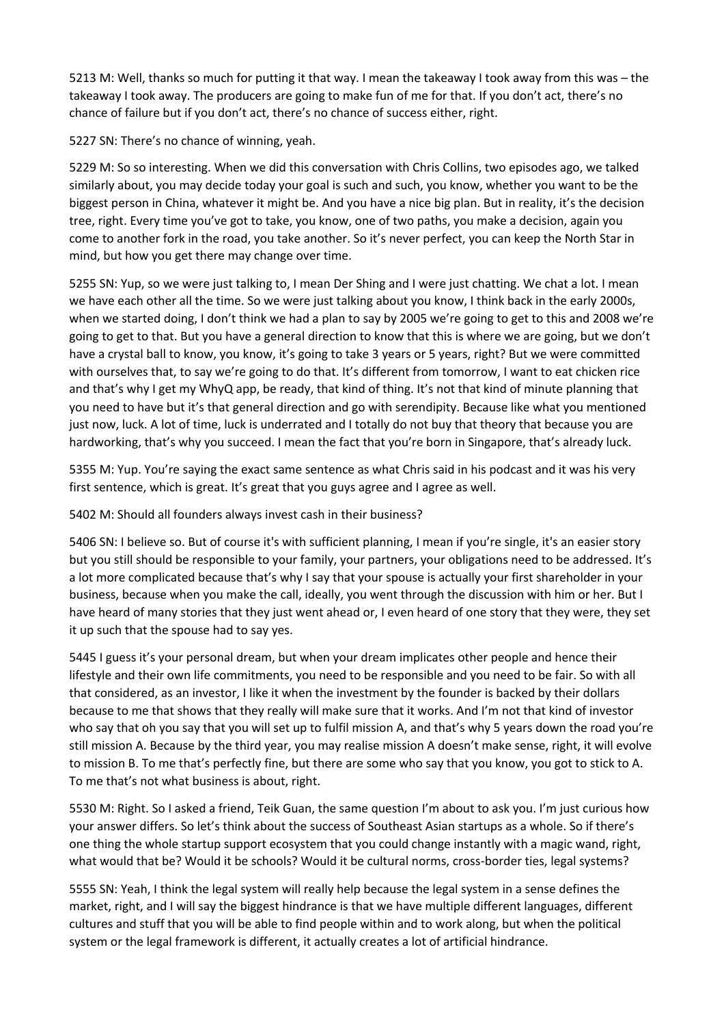5213 M: Well, thanks so much for putting it that way. I mean the takeaway I took away from this was – the takeaway I took away. The producers are going to make fun of me for that. If you don't act, there's no chance of failure but if you don't act, there's no chance of success either, right.

5227 SN: There's no chance of winning, yeah.

5229 M: So so interesting. When we did this conversation with Chris Collins, two episodes ago, we talked similarly about, you may decide today your goal is such and such, you know, whether you want to be the biggest person in China, whatever it might be. And you have a nice big plan. But in reality, it's the decision tree, right. Every time you've got to take, you know, one of two paths, you make a decision, again you come to another fork in the road, you take another. So it's never perfect, you can keep the North Star in mind, but how you get there may change over time.

5255 SN: Yup, so we were just talking to, I mean Der Shing and I were just chatting. We chat a lot. I mean we have each other all the time. So we were just talking about you know, I think back in the early 2000s, when we started doing, I don't think we had a plan to say by 2005 we're going to get to this and 2008 we're going to get to that. But you have a general direction to know that this is where we are going, but we don't have a crystal ball to know, you know, it's going to take 3 years or 5 years, right? But we were committed with ourselves that, to say we're going to do that. It's different from tomorrow, I want to eat chicken rice and that's why I get my WhyQ app, be ready, that kind of thing. It's not that kind of minute planning that you need to have but it's that general direction and go with serendipity. Because like what you mentioned just now, luck. A lot of time, luck is underrated and I totally do not buy that theory that because you are hardworking, that's why you succeed. I mean the fact that you're born in Singapore, that's already luck.

5355 M: Yup. You're saying the exact same sentence as what Chris said in his podcast and it was his very first sentence, which is great. It's great that you guys agree and I agree as well.

5402 M: Should all founders always invest cash in their business?

5406 SN: I believe so. But of course it's with sufficient planning, I mean if you're single, it's an easier story but you still should be responsible to your family, your partners, your obligations need to be addressed. It's a lot more complicated because that's why I say that your spouse is actually your first shareholder in your business, because when you make the call, ideally, you went through the discussion with him or her. But I have heard of many stories that they just went ahead or, I even heard of one story that they were, they set it up such that the spouse had to say yes.

5445 I guess it's your personal dream, but when your dream implicates other people and hence their lifestyle and their own life commitments, you need to be responsible and you need to be fair. So with all that considered, as an investor, I like it when the investment by the founder is backed by their dollars because to me that shows that they really will make sure that it works. And I'm not that kind of investor who say that oh you say that you will set up to fulfil mission A, and that's why 5 years down the road you're still mission A. Because by the third year, you may realise mission A doesn't make sense, right, it will evolve to mission B. To me that's perfectly fine, but there are some who say that you know, you got to stick to A. To me that's not what business is about, right.

5530 M: Right. So I asked a friend, Teik Guan, the same question I'm about to ask you. I'm just curious how your answer differs. So let's think about the success of Southeast Asian startups as a whole. So if there's one thing the whole startup support ecosystem that you could change instantly with a magic wand, right, what would that be? Would it be schools? Would it be cultural norms, cross-border ties, legal systems?

5555 SN: Yeah, I think the legal system will really help because the legal system in a sense defines the market, right, and I will say the biggest hindrance is that we have multiple different languages, different cultures and stuff that you will be able to find people within and to work along, but when the political system or the legal framework is different, it actually creates a lot of artificial hindrance.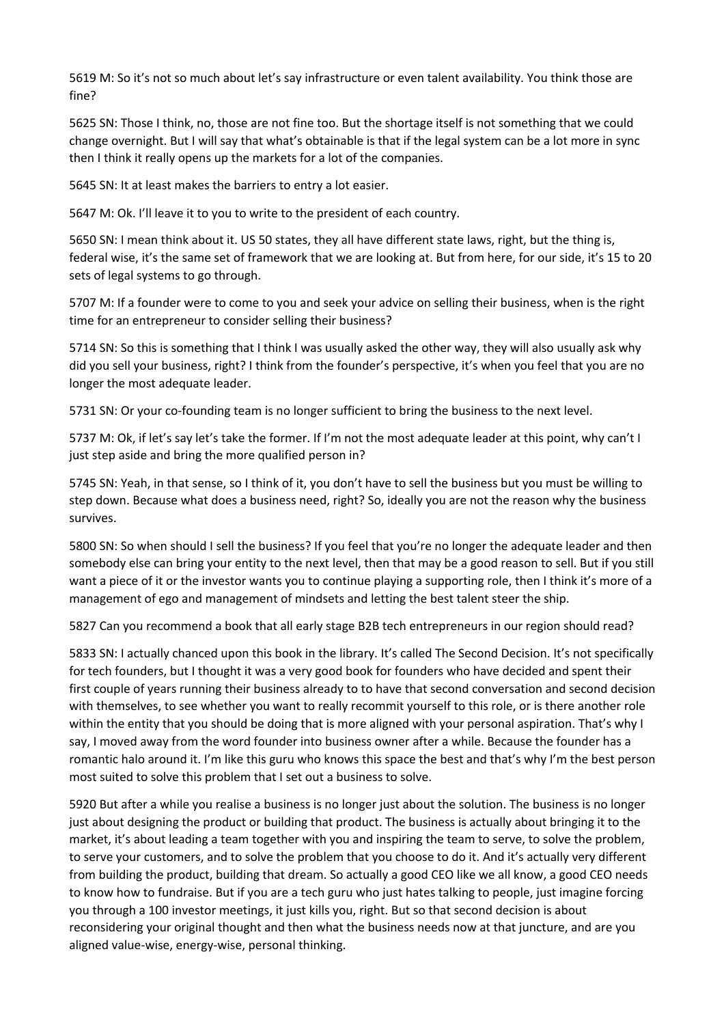5619 M: So it's not so much about let's say infrastructure or even talent availability. You think those are fine?

5625 SN: Those I think, no, those are not fine too. But the shortage itself is not something that we could change overnight. But I will say that what's obtainable is that if the legal system can be a lot more in sync then I think it really opens up the markets for a lot of the companies.

5645 SN: It at least makes the barriers to entry a lot easier.

5647 M: Ok. I'll leave it to you to write to the president of each country.

5650 SN: I mean think about it. US 50 states, they all have different state laws, right, but the thing is, federal wise, it's the same set of framework that we are looking at. But from here, for our side, it's 15 to 20 sets of legal systems to go through.

5707 M: If a founder were to come to you and seek your advice on selling their business, when is the right time for an entrepreneur to consider selling their business?

5714 SN: So this is something that I think I was usually asked the other way, they will also usually ask why did you sell your business, right? I think from the founder's perspective, it's when you feel that you are no longer the most adequate leader.

5731 SN: Or your co-founding team is no longer sufficient to bring the business to the next level.

5737 M: Ok, if let's say let's take the former. If I'm not the most adequate leader at this point, why can't I just step aside and bring the more qualified person in?

5745 SN: Yeah, in that sense, so I think of it, you don't have to sell the business but you must be willing to step down. Because what does a business need, right? So, ideally you are not the reason why the business survives.

5800 SN: So when should I sell the business? If you feel that you're no longer the adequate leader and then somebody else can bring your entity to the next level, then that may be a good reason to sell. But if you still want a piece of it or the investor wants you to continue playing a supporting role, then I think it's more of a management of ego and management of mindsets and letting the best talent steer the ship.

5827 Can you recommend a book that all early stage B2B tech entrepreneurs in our region should read?

5833 SN: I actually chanced upon this book in the library. It's called The Second Decision. It's not specifically for tech founders, but I thought it was a very good book for founders who have decided and spent their first couple of years running their business already to to have that second conversation and second decision with themselves, to see whether you want to really recommit yourself to this role, or is there another role within the entity that you should be doing that is more aligned with your personal aspiration. That's why I say, I moved away from the word founder into business owner after a while. Because the founder has a romantic halo around it. I'm like this guru who knows this space the best and that's why I'm the best person most suited to solve this problem that I set out a business to solve.

5920 But after a while you realise a business is no longer just about the solution. The business is no longer just about designing the product or building that product. The business is actually about bringing it to the market, it's about leading a team together with you and inspiring the team to serve, to solve the problem, to serve your customers, and to solve the problem that you choose to do it. And it's actually very different from building the product, building that dream. So actually a good CEO like we all know, a good CEO needs to know how to fundraise. But if you are a tech guru who just hates talking to people, just imagine forcing you through a 100 investor meetings, it just kills you, right. But so that second decision is about reconsidering your original thought and then what the business needs now at that juncture, and are you aligned value-wise, energy-wise, personal thinking.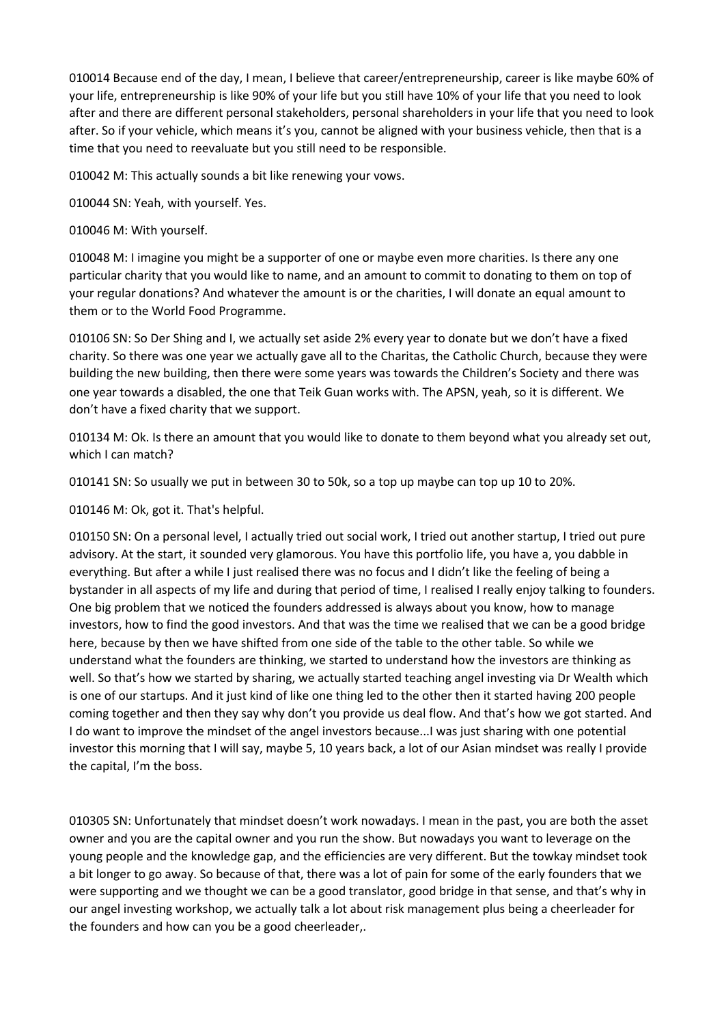010014 Because end of the day, I mean, I believe that career/entrepreneurship, career is like maybe 60% of your life, entrepreneurship is like 90% of your life but you still have 10% of your life that you need to look after and there are different personal stakeholders, personal shareholders in your life that you need to look after. So if your vehicle, which means it's you, cannot be aligned with your business vehicle, then that is a time that you need to reevaluate but you still need to be responsible.

010042 M: This actually sounds a bit like renewing your vows.

010044 SN: Yeah, with yourself. Yes.

010046 M: With yourself.

010048 M: I imagine you might be a supporter of one or maybe even more charities. Is there any one particular charity that you would like to name, and an amount to commit to donating to them on top of your regular donations? And whatever the amount is or the charities, I will donate an equal amount to them or to the World Food Programme.

010106 SN: So Der Shing and I, we actually set aside 2% every year to donate but we don't have a fixed charity. So there was one year we actually gave all to the Charitas, the Catholic Church, because they were building the new building, then there were some years was towards the Children's Society and there was one year towards a disabled, the one that Teik Guan works with. The APSN, yeah, so it is different. We don't have a fixed charity that we support.

010134 M: Ok. Is there an amount that you would like to donate to them beyond what you already set out, which I can match?

010141 SN: So usually we put in between 30 to 50k, so a top up maybe can top up 10 to 20%.

010146 M: Ok, got it. That's helpful.

010150 SN: On a personal level, I actually tried out social work, I tried out another startup, I tried out pure advisory. At the start, it sounded very glamorous. You have this portfolio life, you have a, you dabble in everything. But after a while I just realised there was no focus and I didn't like the feeling of being a bystander in all aspects of my life and during that period of time, I realised I really enjoy talking to founders. One big problem that we noticed the founders addressed is always about you know, how to manage investors, how to find the good investors. And that was the time we realised that we can be a good bridge here, because by then we have shifted from one side of the table to the other table. So while we understand what the founders are thinking, we started to understand how the investors are thinking as well. So that's how we started by sharing, we actually started teaching angel investing via Dr Wealth which is one of our startups. And it just kind of like one thing led to the other then it started having 200 people coming together and then they say why don't you provide us deal flow. And that's how we got started. And I do want to improve the mindset of the angel investors because...I was just sharing with one potential investor this morning that I will say, maybe 5, 10 years back, a lot of our Asian mindset was really I provide the capital, I'm the boss.

010305 SN: Unfortunately that mindset doesn't work nowadays. I mean in the past, you are both the asset owner and you are the capital owner and you run the show. But nowadays you want to leverage on the young people and the knowledge gap, and the efficiencies are very different. But the towkay mindset took a bit longer to go away. So because of that, there was a lot of pain for some of the early founders that we were supporting and we thought we can be a good translator, good bridge in that sense, and that's why in our angel investing workshop, we actually talk a lot about risk management plus being a cheerleader for the founders and how can you be a good cheerleader,.